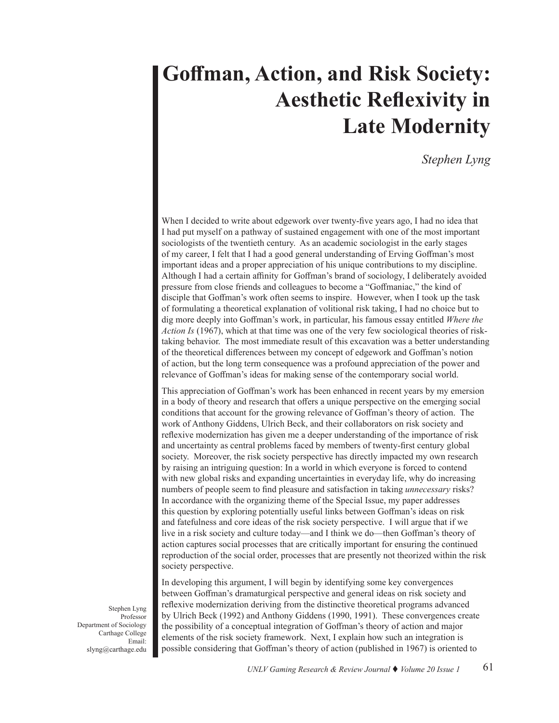# **Goffman, Action, and Risk Society: Aesthetic Reflexivity in Late Modernity**

# *Stephen Lyng*

When I decided to write about edgework over twenty-five years ago, I had no idea that I had put myself on a pathway of sustained engagement with one of the most important sociologists of the twentieth century. As an academic sociologist in the early stages of my career, I felt that I had a good general understanding of Erving Goffman's most important ideas and a proper appreciation of his unique contributions to my discipline. Although I had a certain affinity for Goffman's brand of sociology, I deliberately avoided pressure from close friends and colleagues to become a "Goffmaniac," the kind of disciple that Goffman's work often seems to inspire. However, when I took up the task of formulating a theoretical explanation of volitional risk taking, I had no choice but to dig more deeply into Goffman's work, in particular, his famous essay entitled *Where the Action Is* (1967), which at that time was one of the very few sociological theories of risktaking behavior. The most immediate result of this excavation was a better understanding of the theoretical differences between my concept of edgework and Goffman's notion of action, but the long term consequence was a profound appreciation of the power and relevance of Goffman's ideas for making sense of the contemporary social world.

This appreciation of Goffman's work has been enhanced in recent years by my emersion in a body of theory and research that offers a unique perspective on the emerging social conditions that account for the growing relevance of Goffman's theory of action. The work of Anthony Giddens, Ulrich Beck, and their collaborators on risk society and reflexive modernization has given me a deeper understanding of the importance of risk and uncertainty as central problems faced by members of twenty-first century global society. Moreover, the risk society perspective has directly impacted my own research by raising an intriguing question: In a world in which everyone is forced to contend with new global risks and expanding uncertainties in everyday life, why do increasing numbers of people seem to find pleasure and satisfaction in taking *unnecessary* risks? In accordance with the organizing theme of the Special Issue, my paper addresses this question by exploring potentially useful links between Goffman's ideas on risk and fatefulness and core ideas of the risk society perspective. I will argue that if we live in a risk society and culture today—and I think we do—then Goffman's theory of action captures social processes that are critically important for ensuring the continued reproduction of the social order, processes that are presently not theorized within the risk society perspective.

In developing this argument, I will begin by identifying some key convergences between Goffman's dramaturgical perspective and general ideas on risk society and reflexive modernization deriving from the distinctive theoretical programs advanced by Ulrich Beck (1992) and Anthony Giddens (1990, 1991). These convergences create the possibility of a conceptual integration of Goffman's theory of action and major elements of the risk society framework. Next, I explain how such an integration is possible considering that Goffman's theory of action (published in 1967) is oriented to

Stephen Lyng Professor Department of Sociology Carthage College Email: slyng@carthage.edu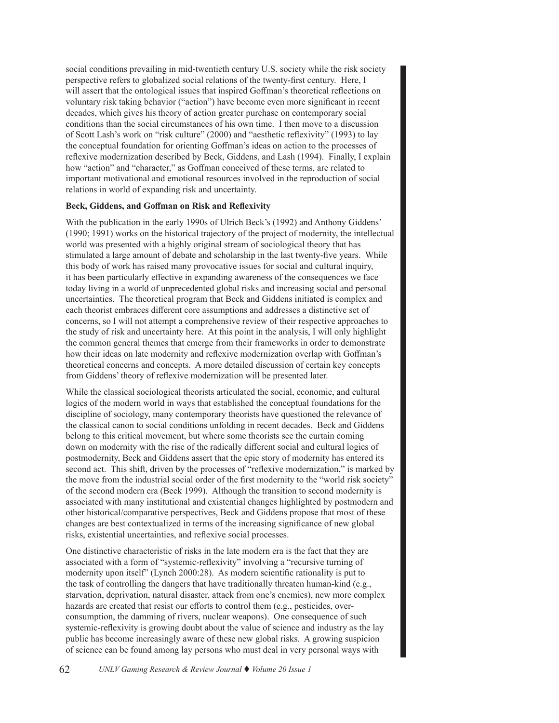social conditions prevailing in mid-twentieth century U.S. society while the risk society perspective refers to globalized social relations of the twenty-first century. Here, I will assert that the ontological issues that inspired Goffman's theoretical reflections on voluntary risk taking behavior ("action") have become even more significant in recent decades, which gives his theory of action greater purchase on contemporary social conditions than the social circumstances of his own time. I then move to a discussion of Scott Lash's work on "risk culture" (2000) and "aesthetic reflexivity" (1993) to lay the conceptual foundation for orienting Goffman's ideas on action to the processes of reflexive modernization described by Beck, Giddens, and Lash (1994). Finally, I explain how "action" and "character," as Goffman conceived of these terms, are related to important motivational and emotional resources involved in the reproduction of social relations in world of expanding risk and uncertainty.

## **Beck, Giddens, and Goffman on Risk and Reflexivity**

With the publication in the early 1990s of Ulrich Beck's (1992) and Anthony Giddens' (1990; 1991) works on the historical trajectory of the project of modernity, the intellectual world was presented with a highly original stream of sociological theory that has stimulated a large amount of debate and scholarship in the last twenty-five years. While this body of work has raised many provocative issues for social and cultural inquiry, it has been particularly effective in expanding awareness of the consequences we face today living in a world of unprecedented global risks and increasing social and personal uncertainties. The theoretical program that Beck and Giddens initiated is complex and each theorist embraces different core assumptions and addresses a distinctive set of concerns, so I will not attempt a comprehensive review of their respective approaches to the study of risk and uncertainty here. At this point in the analysis, I will only highlight the common general themes that emerge from their frameworks in order to demonstrate how their ideas on late modernity and reflexive modernization overlap with Goffman's theoretical concerns and concepts. A more detailed discussion of certain key concepts from Giddens' theory of reflexive modernization will be presented later.

While the classical sociological theorists articulated the social, economic, and cultural logics of the modern world in ways that established the conceptual foundations for the discipline of sociology, many contemporary theorists have questioned the relevance of the classical canon to social conditions unfolding in recent decades. Beck and Giddens belong to this critical movement, but where some theorists see the curtain coming down on modernity with the rise of the radically different social and cultural logics of postmodernity, Beck and Giddens assert that the epic story of modernity has entered its second act. This shift, driven by the processes of "reflexive modernization," is marked by the move from the industrial social order of the first modernity to the "world risk society" of the second modern era (Beck 1999). Although the transition to second modernity is associated with many institutional and existential changes highlighted by postmodern and other historical/comparative perspectives, Beck and Giddens propose that most of these changes are best contextualized in terms of the increasing significance of new global risks, existential uncertainties, and reflexive social processes.

One distinctive characteristic of risks in the late modern era is the fact that they are associated with a form of "systemic-reflexivity" involving a "recursive turning of modernity upon itself" (Lynch 2000:28). As modern scientific rationality is put to the task of controlling the dangers that have traditionally threaten human-kind (e.g., starvation, deprivation, natural disaster, attack from one's enemies), new more complex hazards are created that resist our efforts to control them (e.g., pesticides, overconsumption, the damming of rivers, nuclear weapons). One consequence of such systemic-reflexivity is growing doubt about the value of science and industry as the lay public has become increasingly aware of these new global risks. A growing suspicion of science can be found among lay persons who must deal in very personal ways with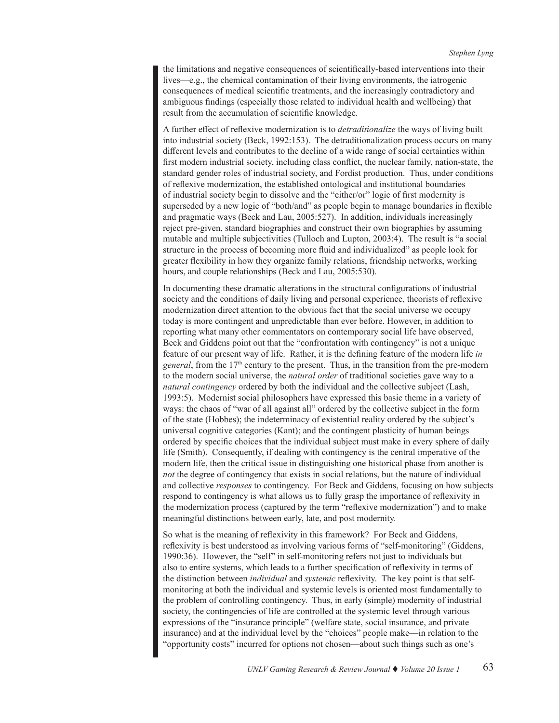the limitations and negative consequences of scientifically-based interventions into their lives—e.g., the chemical contamination of their living environments, the iatrogenic consequences of medical scientific treatments, and the increasingly contradictory and ambiguous findings (especially those related to individual health and wellbeing) that result from the accumulation of scientific knowledge.

A further effect of reflexive modernization is to *detraditionalize* the ways of living built into industrial society (Beck, 1992:153). The detraditionalization process occurs on many different levels and contributes to the decline of a wide range of social certainties within first modern industrial society, including class conflict, the nuclear family, nation-state, the standard gender roles of industrial society, and Fordist production. Thus, under conditions of reflexive modernization, the established ontological and institutional boundaries of industrial society begin to dissolve and the "either/or" logic of first modernity is superseded by a new logic of "both/and" as people begin to manage boundaries in flexible and pragmatic ways (Beck and Lau, 2005:527). In addition, individuals increasingly reject pre-given, standard biographies and construct their own biographies by assuming mutable and multiple subjectivities (Tulloch and Lupton, 2003:4). The result is "a social structure in the process of becoming more fluid and individualized" as people look for greater flexibility in how they organize family relations, friendship networks, working hours, and couple relationships (Beck and Lau, 2005:530).

In documenting these dramatic alterations in the structural configurations of industrial society and the conditions of daily living and personal experience, theorists of reflexive modernization direct attention to the obvious fact that the social universe we occupy today is more contingent and unpredictable than ever before. However, in addition to reporting what many other commentators on contemporary social life have observed, Beck and Giddens point out that the "confrontation with contingency" is not a unique feature of our present way of life. Rather, it is the defining feature of the modern life *in general*, from the  $17<sup>th</sup>$  century to the present. Thus, in the transition from the pre-modern to the modern social universe, the *natural order* of traditional societies gave way to a *natural contingency* ordered by both the individual and the collective subject (Lash, 1993:5). Modernist social philosophers have expressed this basic theme in a variety of ways: the chaos of "war of all against all" ordered by the collective subject in the form of the state (Hobbes); the indeterminacy of existential reality ordered by the subject's universal cognitive categories (Kant); and the contingent plasticity of human beings ordered by specific choices that the individual subject must make in every sphere of daily life (Smith). Consequently, if dealing with contingency is the central imperative of the modern life, then the critical issue in distinguishing one historical phase from another is *not* the degree of contingency that exists in social relations, but the nature of individual and collective *responses* to contingency. For Beck and Giddens, focusing on how subjects respond to contingency is what allows us to fully grasp the importance of reflexivity in the modernization process (captured by the term "reflexive modernization") and to make meaningful distinctions between early, late, and post modernity.

So what is the meaning of reflexivity in this framework? For Beck and Giddens, reflexivity is best understood as involving various forms of "self-monitoring" (Giddens, 1990:36). However, the "self" in self-monitoring refers not just to individuals but also to entire systems, which leads to a further specification of reflexivity in terms of the distinction between *individual* and *systemic* reflexivity. The key point is that selfmonitoring at both the individual and systemic levels is oriented most fundamentally to the problem of controlling contingency. Thus, in early (simple) modernity of industrial society, the contingencies of life are controlled at the systemic level through various expressions of the "insurance principle" (welfare state, social insurance, and private insurance) and at the individual level by the "choices" people make—in relation to the "opportunity costs" incurred for options not chosen—about such things such as one's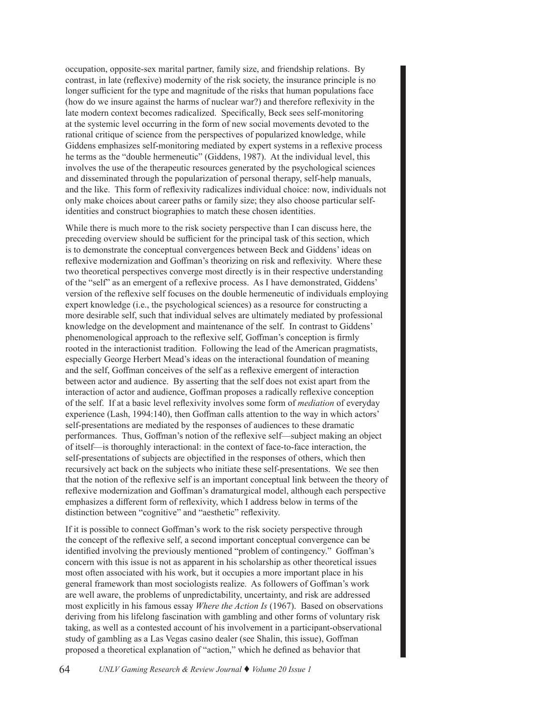occupation, opposite-sex marital partner, family size, and friendship relations. By contrast, in late (reflexive) modernity of the risk society, the insurance principle is no longer sufficient for the type and magnitude of the risks that human populations face (how do we insure against the harms of nuclear war?) and therefore reflexivity in the late modern context becomes radicalized. Specifically, Beck sees self-monitoring at the systemic level occurring in the form of new social movements devoted to the rational critique of science from the perspectives of popularized knowledge, while Giddens emphasizes self-monitoring mediated by expert systems in a reflexive process he terms as the "double hermeneutic" (Giddens, 1987). At the individual level, this involves the use of the therapeutic resources generated by the psychological sciences and disseminated through the popularization of personal therapy, self-help manuals, and the like. This form of reflexivity radicalizes individual choice: now, individuals not only make choices about career paths or family size; they also choose particular selfidentities and construct biographies to match these chosen identities.

While there is much more to the risk society perspective than I can discuss here, the preceding overview should be sufficient for the principal task of this section, which is to demonstrate the conceptual convergences between Beck and Giddens' ideas on reflexive modernization and Goffman's theorizing on risk and reflexivity. Where these two theoretical perspectives converge most directly is in their respective understanding of the "self" as an emergent of a reflexive process. As I have demonstrated, Giddens' version of the reflexive self focuses on the double hermeneutic of individuals employing expert knowledge (i.e., the psychological sciences) as a resource for constructing a more desirable self, such that individual selves are ultimately mediated by professional knowledge on the development and maintenance of the self. In contrast to Giddens' phenomenological approach to the reflexive self, Goffman's conception is firmly rooted in the interactionist tradition. Following the lead of the American pragmatists, especially George Herbert Mead's ideas on the interactional foundation of meaning and the self, Goffman conceives of the self as a reflexive emergent of interaction between actor and audience. By asserting that the self does not exist apart from the interaction of actor and audience, Goffman proposes a radically reflexive conception of the self. If at a basic level reflexivity involves some form of *mediation* of everyday experience (Lash, 1994:140), then Goffman calls attention to the way in which actors' self-presentations are mediated by the responses of audiences to these dramatic performances. Thus, Goffman's notion of the reflexive self—subject making an object of itself—is thoroughly interactional: in the context of face-to-face interaction, the self-presentations of subjects are objectified in the responses of others, which then recursively act back on the subjects who initiate these self-presentations. We see then that the notion of the reflexive self is an important conceptual link between the theory of reflexive modernization and Goffman's dramaturgical model, although each perspective emphasizes a different form of reflexivity, which I address below in terms of the distinction between "cognitive" and "aesthetic" reflexivity.

If it is possible to connect Goffman's work to the risk society perspective through the concept of the reflexive self, a second important conceptual convergence can be identified involving the previously mentioned "problem of contingency." Goffman's concern with this issue is not as apparent in his scholarship as other theoretical issues most often associated with his work, but it occupies a more important place in his general framework than most sociologists realize. As followers of Goffman's work are well aware, the problems of unpredictability, uncertainty, and risk are addressed most explicitly in his famous essay *Where the Action Is* (1967). Based on observations deriving from his lifelong fascination with gambling and other forms of voluntary risk taking, as well as a contested account of his involvement in a participant-observational study of gambling as a Las Vegas casino dealer (see Shalin, this issue), Goffman proposed a theoretical explanation of "action," which he defined as behavior that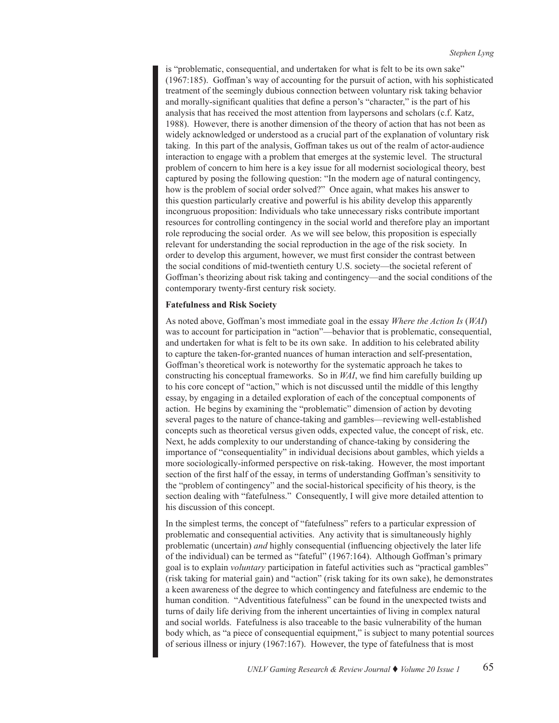is "problematic, consequential, and undertaken for what is felt to be its own sake" (1967:185). Goffman's way of accounting for the pursuit of action, with his sophisticated treatment of the seemingly dubious connection between voluntary risk taking behavior and morally-significant qualities that define a person's "character," is the part of his analysis that has received the most attention from laypersons and scholars (c.f. Katz, 1988). However, there is another dimension of the theory of action that has not been as widely acknowledged or understood as a crucial part of the explanation of voluntary risk taking. In this part of the analysis, Goffman takes us out of the realm of actor-audience interaction to engage with a problem that emerges at the systemic level. The structural problem of concern to him here is a key issue for all modernist sociological theory, best captured by posing the following question: "In the modern age of natural contingency, how is the problem of social order solved?" Once again, what makes his answer to this question particularly creative and powerful is his ability develop this apparently incongruous proposition: Individuals who take unnecessary risks contribute important resources for controlling contingency in the social world and therefore play an important role reproducing the social order. As we will see below, this proposition is especially relevant for understanding the social reproduction in the age of the risk society. In order to develop this argument, however, we must first consider the contrast between the social conditions of mid-twentieth century U.S. society—the societal referent of Goffman's theorizing about risk taking and contingency—and the social conditions of the contemporary twenty-first century risk society.

#### **Fatefulness and Risk Society**

As noted above, Goffman's most immediate goal in the essay *Where the Action Is* (*WAI*) was to account for participation in "action"—behavior that is problematic, consequential, and undertaken for what is felt to be its own sake. In addition to his celebrated ability to capture the taken-for-granted nuances of human interaction and self-presentation, Goffman's theoretical work is noteworthy for the systematic approach he takes to constructing his conceptual frameworks. So in *WAI*, we find him carefully building up to his core concept of "action," which is not discussed until the middle of this lengthy essay, by engaging in a detailed exploration of each of the conceptual components of action. He begins by examining the "problematic" dimension of action by devoting several pages to the nature of chance-taking and gambles—reviewing well-established concepts such as theoretical versus given odds, expected value, the concept of risk, etc. Next, he adds complexity to our understanding of chance-taking by considering the importance of "consequentiality" in individual decisions about gambles, which yields a more sociologically-informed perspective on risk-taking. However, the most important section of the first half of the essay, in terms of understanding Goffman's sensitivity to the "problem of contingency" and the social-historical specificity of his theory, is the section dealing with "fatefulness." Consequently, I will give more detailed attention to his discussion of this concept.

In the simplest terms, the concept of "fatefulness" refers to a particular expression of problematic and consequential activities. Any activity that is simultaneously highly problematic (uncertain) *and* highly consequential (influencing objectively the later life of the individual) can be termed as "fateful" (1967:164). Although Goffman's primary goal is to explain *voluntary* participation in fateful activities such as "practical gambles" (risk taking for material gain) and "action" (risk taking for its own sake), he demonstrates a keen awareness of the degree to which contingency and fatefulness are endemic to the human condition. "Adventitious fatefulness" can be found in the unexpected twists and turns of daily life deriving from the inherent uncertainties of living in complex natural and social worlds. Fatefulness is also traceable to the basic vulnerability of the human body which, as "a piece of consequential equipment," is subject to many potential sources of serious illness or injury (1967:167). However, the type of fatefulness that is most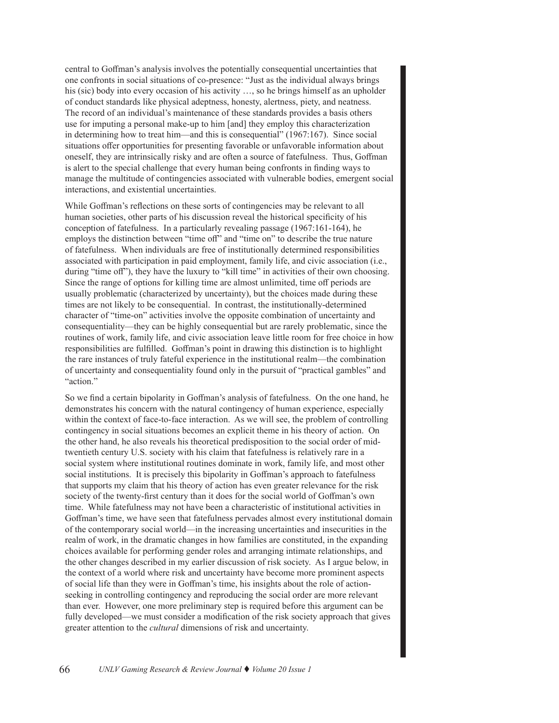central to Goffman's analysis involves the potentially consequential uncertainties that one confronts in social situations of co-presence: "Just as the individual always brings his (sic) body into every occasion of his activity ..., so he brings himself as an upholder of conduct standards like physical adeptness, honesty, alertness, piety, and neatness. The record of an individual's maintenance of these standards provides a basis others use for imputing a personal make-up to him [and] they employ this characterization in determining how to treat him—and this is consequential" (1967:167). Since social situations offer opportunities for presenting favorable or unfavorable information about oneself, they are intrinsically risky and are often a source of fatefulness. Thus, Goffman is alert to the special challenge that every human being confronts in finding ways to manage the multitude of contingencies associated with vulnerable bodies, emergent social interactions, and existential uncertainties.

While Goffman's reflections on these sorts of contingencies may be relevant to all human societies, other parts of his discussion reveal the historical specificity of his conception of fatefulness. In a particularly revealing passage (1967:161-164), he employs the distinction between "time off" and "time on" to describe the true nature of fatefulness. When individuals are free of institutionally determined responsibilities associated with participation in paid employment, family life, and civic association (i.e., during "time off"), they have the luxury to "kill time" in activities of their own choosing. Since the range of options for killing time are almost unlimited, time off periods are usually problematic (characterized by uncertainty), but the choices made during these times are not likely to be consequential. In contrast, the institutionally-determined character of "time-on" activities involve the opposite combination of uncertainty and consequentiality—they can be highly consequential but are rarely problematic, since the routines of work, family life, and civic association leave little room for free choice in how responsibilities are fulfilled. Goffman's point in drawing this distinction is to highlight the rare instances of truly fateful experience in the institutional realm—the combination of uncertainty and consequentiality found only in the pursuit of "practical gambles" and "action."

So we find a certain bipolarity in Goffman's analysis of fatefulness. On the one hand, he demonstrates his concern with the natural contingency of human experience, especially within the context of face-to-face interaction. As we will see, the problem of controlling contingency in social situations becomes an explicit theme in his theory of action. On the other hand, he also reveals his theoretical predisposition to the social order of midtwentieth century U.S. society with his claim that fatefulness is relatively rare in a social system where institutional routines dominate in work, family life, and most other social institutions. It is precisely this bipolarity in Goffman's approach to fatefulness that supports my claim that his theory of action has even greater relevance for the risk society of the twenty-first century than it does for the social world of Goffman's own time. While fatefulness may not have been a characteristic of institutional activities in Goffman's time, we have seen that fatefulness pervades almost every institutional domain of the contemporary social world—in the increasing uncertainties and insecurities in the realm of work, in the dramatic changes in how families are constituted, in the expanding choices available for performing gender roles and arranging intimate relationships, and the other changes described in my earlier discussion of risk society. As I argue below, in the context of a world where risk and uncertainty have become more prominent aspects of social life than they were in Goffman's time, his insights about the role of actionseeking in controlling contingency and reproducing the social order are more relevant than ever. However, one more preliminary step is required before this argument can be fully developed—we must consider a modification of the risk society approach that gives greater attention to the *cultural* dimensions of risk and uncertainty.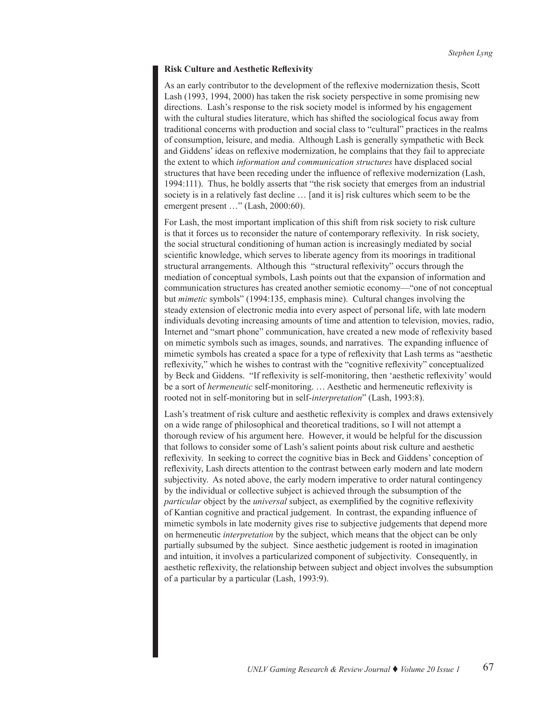## **Risk Culture and Aesthetic Reflexivity**

As an early contributor to the development of the reflexive modernization thesis, Scott Lash (1993, 1994, 2000) has taken the risk society perspective in some promising new directions. Lash's response to the risk society model is informed by his engagement with the cultural studies literature, which has shifted the sociological focus away from traditional concerns with production and social class to "cultural" practices in the realms of consumption, leisure, and media. Although Lash is generally sympathetic with Beck and Giddens' ideas on reflexive modernization, he complains that they fail to appreciate the extent to which *information and communication structures* have displaced social structures that have been receding under the influence of reflexive modernization (Lash, 1994:111). Thus, he boldly asserts that "the risk society that emerges from an industrial society is in a relatively fast decline … [and it is] risk cultures which seem to be the emergent present ..." (Lash, 2000:60).

For Lash, the most important implication of this shift from risk society to risk culture is that it forces us to reconsider the nature of contemporary reflexivity. In risk society, the social structural conditioning of human action is increasingly mediated by social scientific knowledge, which serves to liberate agency from its moorings in traditional structural arrangements. Although this "structural reflexivity" occurs through the mediation of conceptual symbols, Lash points out that the expansion of information and communication structures has created another semiotic economy—"one of not conceptual but *mimetic* symbols" (1994:135, emphasis mine). Cultural changes involving the steady extension of electronic media into every aspect of personal life, with late modern individuals devoting increasing amounts of time and attention to television, movies, radio, Internet and "smart phone" communication, have created a new mode of reflexivity based on mimetic symbols such as images, sounds, and narratives. The expanding influence of mimetic symbols has created a space for a type of reflexivity that Lash terms as "aesthetic reflexivity," which he wishes to contrast with the "cognitive reflexivity" conceptualized by Beck and Giddens. "If reflexivity is self-monitoring, then 'aesthetic reflexivity' would be a sort of *hermeneutic* self-monitoring. … Aesthetic and hermeneutic reflexivity is rooted not in self-monitoring but in self-*interpretation*" (Lash, 1993:8).

Lash's treatment of risk culture and aesthetic reflexivity is complex and draws extensively on a wide range of philosophical and theoretical traditions, so I will not attempt a thorough review of his argument here. However, it would be helpful for the discussion that follows to consider some of Lash's salient points about risk culture and aesthetic reflexivity. In seeking to correct the cognitive bias in Beck and Giddens' conception of reflexivity, Lash directs attention to the contrast between early modern and late modern subjectivity. As noted above, the early modern imperative to order natural contingency by the individual or collective subject is achieved through the subsumption of the *particular* object by the *universal* subject, as exemplified by the cognitive reflexivity of Kantian cognitive and practical judgement. In contrast, the expanding influence of mimetic symbols in late modernity gives rise to subjective judgements that depend more on hermeneutic *interpretation* by the subject, which means that the object can be only partially subsumed by the subject. Since aesthetic judgement is rooted in imagination and intuition, it involves a particularized component of subjectivity. Consequently, in aesthetic reflexivity, the relationship between subject and object involves the subsumption of a particular by a particular (Lash, 1993:9).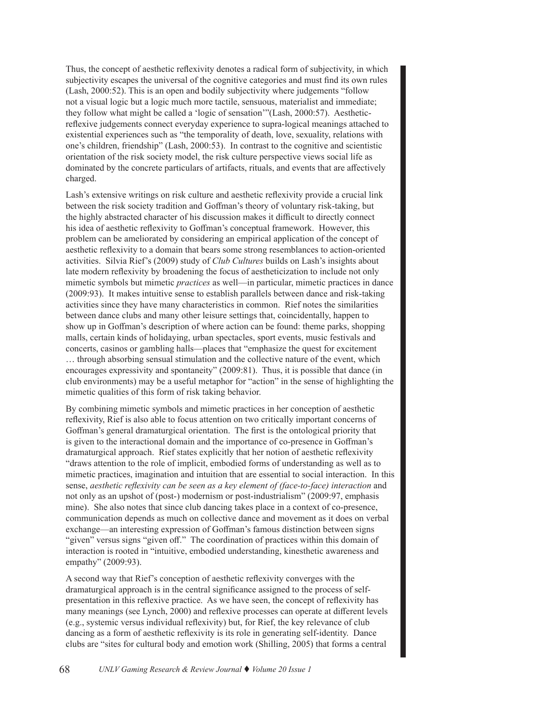Thus, the concept of aesthetic reflexivity denotes a radical form of subjectivity, in which subjectivity escapes the universal of the cognitive categories and must find its own rules (Lash, 2000:52). This is an open and bodily subjectivity where judgements "follow not a visual logic but a logic much more tactile, sensuous, materialist and immediate; they follow what might be called a 'logic of sensation'"(Lash, 2000:57). Aestheticreflexive judgements connect everyday experience to supra-logical meanings attached to existential experiences such as "the temporality of death, love, sexuality, relations with one's children, friendship" (Lash, 2000:53). In contrast to the cognitive and scientistic orientation of the risk society model, the risk culture perspective views social life as dominated by the concrete particulars of artifacts, rituals, and events that are affectively charged.

Lash's extensive writings on risk culture and aesthetic reflexivity provide a crucial link between the risk society tradition and Goffman's theory of voluntary risk-taking, but the highly abstracted character of his discussion makes it difficult to directly connect his idea of aesthetic reflexivity to Goffman's conceptual framework. However, this problem can be ameliorated by considering an empirical application of the concept of aesthetic reflexivity to a domain that bears some strong resemblances to action-oriented activities. Silvia Rief's (2009) study of *Club Cultures* builds on Lash's insights about late modern reflexivity by broadening the focus of aestheticization to include not only mimetic symbols but mimetic *practices* as well—in particular, mimetic practices in dance (2009:93). It makes intuitive sense to establish parallels between dance and risk-taking activities since they have many characteristics in common. Rief notes the similarities between dance clubs and many other leisure settings that, coincidentally, happen to show up in Goffman's description of where action can be found: theme parks, shopping malls, certain kinds of holidaying, urban spectacles, sport events, music festivals and concerts, casinos or gambling halls—places that "emphasize the quest for excitement … through absorbing sensual stimulation and the collective nature of the event, which encourages expressivity and spontaneity" (2009:81). Thus, it is possible that dance (in club environments) may be a useful metaphor for "action" in the sense of highlighting the mimetic qualities of this form of risk taking behavior.

By combining mimetic symbols and mimetic practices in her conception of aesthetic reflexivity, Rief is also able to focus attention on two critically important concerns of Goffman's general dramaturgical orientation. The first is the ontological priority that is given to the interactional domain and the importance of co-presence in Goffman's dramaturgical approach. Rief states explicitly that her notion of aesthetic reflexivity "draws attention to the role of implicit, embodied forms of understanding as well as to mimetic practices, imagination and intuition that are essential to social interaction. In this sense, *aesthetic reflexivity can be seen as a key element of (face-to-face) interaction* and not only as an upshot of (post-) modernism or post-industrialism" (2009:97, emphasis mine). She also notes that since club dancing takes place in a context of co-presence, communication depends as much on collective dance and movement as it does on verbal exchange—an interesting expression of Goffman's famous distinction between signs "given" versus signs "given off." The coordination of practices within this domain of interaction is rooted in "intuitive, embodied understanding, kinesthetic awareness and empathy" (2009:93).

A second way that Rief's conception of aesthetic reflexivity converges with the dramaturgical approach is in the central significance assigned to the process of selfpresentation in this reflexive practice. As we have seen, the concept of reflexivity has many meanings (see Lynch, 2000) and reflexive processes can operate at different levels (e.g., systemic versus individual reflexivity) but, for Rief, the key relevance of club dancing as a form of aesthetic reflexivity is its role in generating self-identity. Dance clubs are "sites for cultural body and emotion work (Shilling, 2005) that forms a central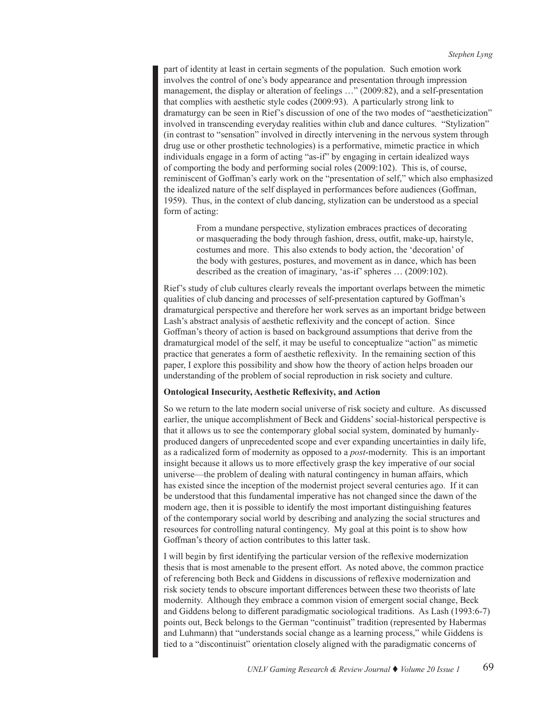part of identity at least in certain segments of the population. Such emotion work involves the control of one's body appearance and presentation through impression management, the display or alteration of feelings …" (2009:82), and a self-presentation that complies with aesthetic style codes (2009:93). A particularly strong link to dramaturgy can be seen in Rief's discussion of one of the two modes of "aestheticization" involved in transcending everyday realities within club and dance cultures. "Stylization" (in contrast to "sensation" involved in directly intervening in the nervous system through drug use or other prosthetic technologies) is a performative, mimetic practice in which individuals engage in a form of acting "as-if" by engaging in certain idealized ways of comporting the body and performing social roles (2009:102). This is, of course, reminiscent of Goffman's early work on the "presentation of self," which also emphasized the idealized nature of the self displayed in performances before audiences (Goffman, 1959). Thus, in the context of club dancing, stylization can be understood as a special form of acting:

From a mundane perspective, stylization embraces practices of decorating or masquerading the body through fashion, dress, outfit, make-up, hairstyle, costumes and more. This also extends to body action, the 'decoration' of the body with gestures, postures, and movement as in dance, which has been described as the creation of imaginary, 'as-if' spheres … (2009:102).

Rief's study of club cultures clearly reveals the important overlaps between the mimetic qualities of club dancing and processes of self-presentation captured by Goffman's dramaturgical perspective and therefore her work serves as an important bridge between Lash's abstract analysis of aesthetic reflexivity and the concept of action. Since Goffman's theory of action is based on background assumptions that derive from the dramaturgical model of the self, it may be useful to conceptualize "action" as mimetic practice that generates a form of aesthetic reflexivity. In the remaining section of this paper, I explore this possibility and show how the theory of action helps broaden our understanding of the problem of social reproduction in risk society and culture.

#### **Ontological Insecurity, Aesthetic Reflexivity, and Action**

So we return to the late modern social universe of risk society and culture. As discussed earlier, the unique accomplishment of Beck and Giddens' social-historical perspective is that it allows us to see the contemporary global social system, dominated by humanlyproduced dangers of unprecedented scope and ever expanding uncertainties in daily life, as a radicalized form of modernity as opposed to a *post*-modernity. This is an important insight because it allows us to more effectively grasp the key imperative of our social universe—the problem of dealing with natural contingency in human affairs, which has existed since the inception of the modernist project several centuries ago. If it can be understood that this fundamental imperative has not changed since the dawn of the modern age, then it is possible to identify the most important distinguishing features of the contemporary social world by describing and analyzing the social structures and resources for controlling natural contingency. My goal at this point is to show how Goffman's theory of action contributes to this latter task.

I will begin by first identifying the particular version of the reflexive modernization thesis that is most amenable to the present effort. As noted above, the common practice of referencing both Beck and Giddens in discussions of reflexive modernization and risk society tends to obscure important differences between these two theorists of late modernity. Although they embrace a common vision of emergent social change, Beck and Giddens belong to different paradigmatic sociological traditions. As Lash (1993:6-7) points out, Beck belongs to the German "continuist" tradition (represented by Habermas and Luhmann) that "understands social change as a learning process," while Giddens is tied to a "discontinuist" orientation closely aligned with the paradigmatic concerns of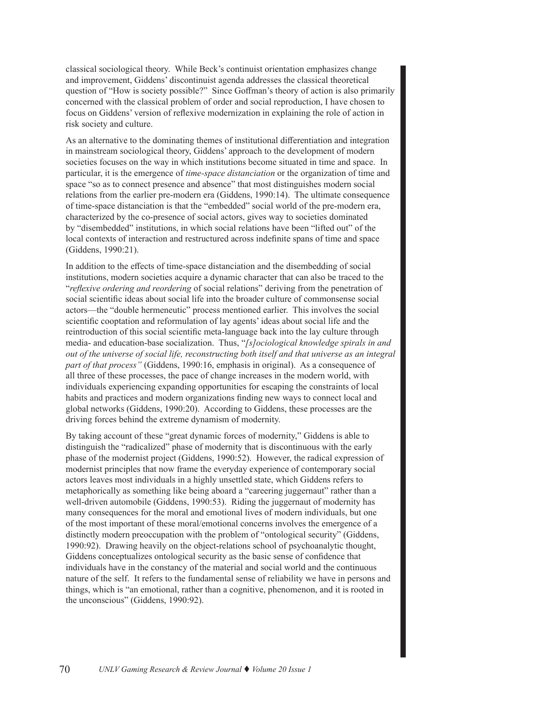classical sociological theory. While Beck's continuist orientation emphasizes change and improvement, Giddens' discontinuist agenda addresses the classical theoretical question of "How is society possible?" Since Goffman's theory of action is also primarily concerned with the classical problem of order and social reproduction, I have chosen to focus on Giddens' version of reflexive modernization in explaining the role of action in risk society and culture.

As an alternative to the dominating themes of institutional differentiation and integration in mainstream sociological theory, Giddens' approach to the development of modern societies focuses on the way in which institutions become situated in time and space. In particular, it is the emergence of *time-space distanciation* or the organization of time and space "so as to connect presence and absence" that most distinguishes modern social relations from the earlier pre-modern era (Giddens, 1990:14). The ultimate consequence of time-space distanciation is that the "embedded" social world of the pre-modern era, characterized by the co-presence of social actors, gives way to societies dominated by "disembedded" institutions, in which social relations have been "lifted out" of the local contexts of interaction and restructured across indefinite spans of time and space (Giddens, 1990:21).

In addition to the effects of time-space distanciation and the disembedding of social institutions, modern societies acquire a dynamic character that can also be traced to the "*reflexive ordering and reordering* of social relations" deriving from the penetration of social scientific ideas about social life into the broader culture of commonsense social actors—the "double hermeneutic" process mentioned earlier. This involves the social scientific cooptation and reformulation of lay agents' ideas about social life and the reintroduction of this social scientific meta-language back into the lay culture through media- and education-base socialization. Thus, "*[s]ociological knowledge spirals in and out of the universe of social life, reconstructing both itself and that universe as an integral part of that process"* (Giddens, 1990:16, emphasis in original). As a consequence of all three of these processes, the pace of change increases in the modern world, with individuals experiencing expanding opportunities for escaping the constraints of local habits and practices and modern organizations finding new ways to connect local and global networks (Giddens, 1990:20). According to Giddens, these processes are the driving forces behind the extreme dynamism of modernity.

By taking account of these "great dynamic forces of modernity," Giddens is able to distinguish the "radicalized" phase of modernity that is discontinuous with the early phase of the modernist project (Giddens, 1990:52). However, the radical expression of modernist principles that now frame the everyday experience of contemporary social actors leaves most individuals in a highly unsettled state, which Giddens refers to metaphorically as something like being aboard a "careering juggernaut" rather than a well-driven automobile (Giddens, 1990:53). Riding the juggernaut of modernity has many consequences for the moral and emotional lives of modern individuals, but one of the most important of these moral/emotional concerns involves the emergence of a distinctly modern preoccupation with the problem of "ontological security" (Giddens, 1990:92). Drawing heavily on the object-relations school of psychoanalytic thought, Giddens conceptualizes ontological security as the basic sense of confidence that individuals have in the constancy of the material and social world and the continuous nature of the self. It refers to the fundamental sense of reliability we have in persons and things, which is "an emotional, rather than a cognitive, phenomenon, and it is rooted in the unconscious" (Giddens, 1990:92).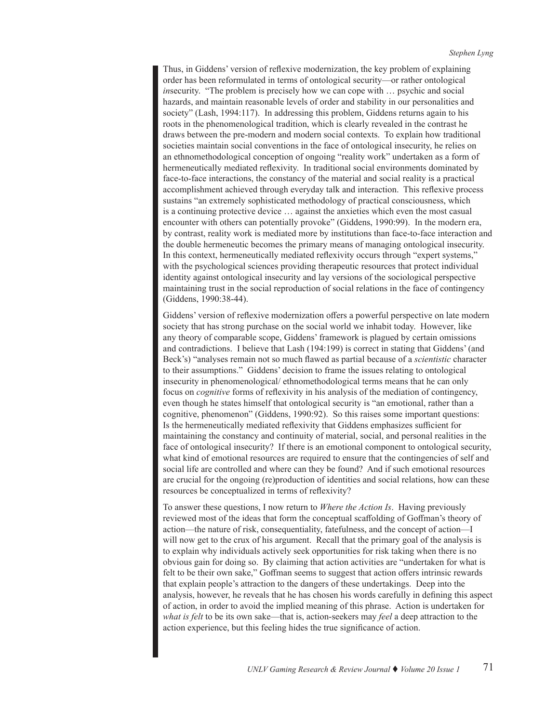Thus, in Giddens' version of reflexive modernization, the key problem of explaining order has been reformulated in terms of ontological security—or rather ontological *in*security. "The problem is precisely how we can cope with … psychic and social hazards, and maintain reasonable levels of order and stability in our personalities and society" (Lash, 1994:117). In addressing this problem, Giddens returns again to his roots in the phenomenological tradition, which is clearly revealed in the contrast he draws between the pre-modern and modern social contexts. To explain how traditional societies maintain social conventions in the face of ontological insecurity, he relies on an ethnomethodological conception of ongoing "reality work" undertaken as a form of hermeneutically mediated reflexivity. In traditional social environments dominated by face-to-face interactions, the constancy of the material and social reality is a practical accomplishment achieved through everyday talk and interaction. This reflexive process sustains "an extremely sophisticated methodology of practical consciousness, which is a continuing protective device … against the anxieties which even the most casual encounter with others can potentially provoke" (Giddens, 1990:99). In the modern era, by contrast, reality work is mediated more by institutions than face-to-face interaction and the double hermeneutic becomes the primary means of managing ontological insecurity. In this context, hermeneutically mediated reflexivity occurs through "expert systems," with the psychological sciences providing therapeutic resources that protect individual identity against ontological insecurity and lay versions of the sociological perspective maintaining trust in the social reproduction of social relations in the face of contingency (Giddens, 1990:38-44).

Giddens' version of reflexive modernization offers a powerful perspective on late modern society that has strong purchase on the social world we inhabit today. However, like any theory of comparable scope, Giddens' framework is plagued by certain omissions and contradictions. I believe that Lash (194:199) is correct in stating that Giddens' (and Beck's) "analyses remain not so much flawed as partial because of a *scientistic* character to their assumptions." Giddens' decision to frame the issues relating to ontological insecurity in phenomenological/ ethnomethodological terms means that he can only focus on *cognitive* forms of reflexivity in his analysis of the mediation of contingency, even though he states himself that ontological security is "an emotional, rather than a cognitive, phenomenon" (Giddens, 1990:92). So this raises some important questions: Is the hermeneutically mediated reflexivity that Giddens emphasizes sufficient for maintaining the constancy and continuity of material, social, and personal realities in the face of ontological insecurity? If there is an emotional component to ontological security, what kind of emotional resources are required to ensure that the contingencies of self and social life are controlled and where can they be found? And if such emotional resources are crucial for the ongoing (re)production of identities and social relations, how can these resources be conceptualized in terms of reflexivity?

To answer these questions, I now return to *Where the Action Is*. Having previously reviewed most of the ideas that form the conceptual scaffolding of Goffman's theory of action—the nature of risk, consequentiality, fatefulness, and the concept of action—I will now get to the crux of his argument. Recall that the primary goal of the analysis is to explain why individuals actively seek opportunities for risk taking when there is no obvious gain for doing so. By claiming that action activities are "undertaken for what is felt to be their own sake," Goffman seems to suggest that action offers intrinsic rewards that explain people's attraction to the dangers of these undertakings. Deep into the analysis, however, he reveals that he has chosen his words carefully in defining this aspect of action, in order to avoid the implied meaning of this phrase. Action is undertaken for *what is felt* to be its own sake—that is, action-seekers may *feel* a deep attraction to the action experience, but this feeling hides the true significance of action.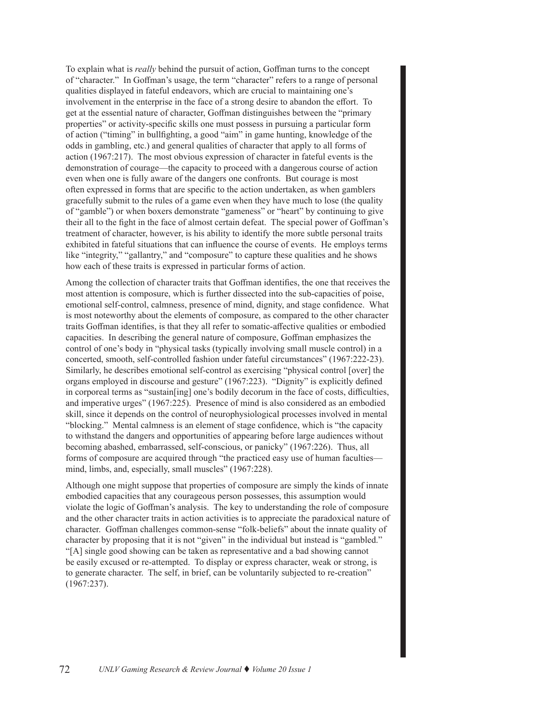To explain what is *really* behind the pursuit of action, Goffman turns to the concept of "character." In Goffman's usage, the term "character" refers to a range of personal qualities displayed in fateful endeavors, which are crucial to maintaining one's involvement in the enterprise in the face of a strong desire to abandon the effort. To get at the essential nature of character, Goffman distinguishes between the "primary properties" or activity-specific skills one must possess in pursuing a particular form of action ("timing" in bullfighting, a good "aim" in game hunting, knowledge of the odds in gambling, etc.) and general qualities of character that apply to all forms of action (1967:217). The most obvious expression of character in fateful events is the demonstration of courage—the capacity to proceed with a dangerous course of action even when one is fully aware of the dangers one confronts. But courage is most often expressed in forms that are specific to the action undertaken, as when gamblers gracefully submit to the rules of a game even when they have much to lose (the quality of "gamble") or when boxers demonstrate "gameness" or "heart" by continuing to give their all to the fight in the face of almost certain defeat. The special power of Goffman's treatment of character, however, is his ability to identify the more subtle personal traits exhibited in fateful situations that can influence the course of events. He employs terms like "integrity," "gallantry," and "composure" to capture these qualities and he shows how each of these traits is expressed in particular forms of action.

Among the collection of character traits that Goffman identifies, the one that receives the most attention is composure, which is further dissected into the sub-capacities of poise, emotional self-control, calmness, presence of mind, dignity, and stage confidence. What is most noteworthy about the elements of composure, as compared to the other character traits Goffman identifies, is that they all refer to somatic-affective qualities or embodied capacities. In describing the general nature of composure, Goffman emphasizes the control of one's body in "physical tasks (typically involving small muscle control) in a concerted, smooth, self-controlled fashion under fateful circumstances" (1967:222-23). Similarly, he describes emotional self-control as exercising "physical control [over] the organs employed in discourse and gesture" (1967:223). "Dignity" is explicitly defined in corporeal terms as "sustain[ing] one's bodily decorum in the face of costs, difficulties, and imperative urges" (1967:225). Presence of mind is also considered as an embodied skill, since it depends on the control of neurophysiological processes involved in mental "blocking." Mental calmness is an element of stage confidence, which is "the capacity to withstand the dangers and opportunities of appearing before large audiences without becoming abashed, embarrassed, self-conscious, or panicky" (1967:226). Thus, all forms of composure are acquired through "the practiced easy use of human faculties mind, limbs, and, especially, small muscles" (1967:228).

Although one might suppose that properties of composure are simply the kinds of innate embodied capacities that any courageous person possesses, this assumption would violate the logic of Goffman's analysis. The key to understanding the role of composure and the other character traits in action activities is to appreciate the paradoxical nature of character. Goffman challenges common-sense "folk-beliefs" about the innate quality of character by proposing that it is not "given" in the individual but instead is "gambled." "[A] single good showing can be taken as representative and a bad showing cannot be easily excused or re-attempted. To display or express character, weak or strong, is to generate character. The self, in brief, can be voluntarily subjected to re-creation" (1967:237).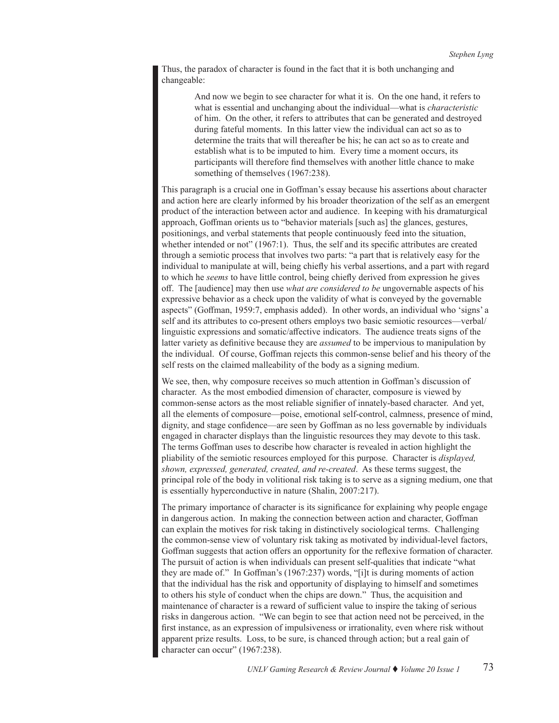Thus, the paradox of character is found in the fact that it is both unchanging and changeable:

> And now we begin to see character for what it is. On the one hand, it refers to what is essential and unchanging about the individual—what is *characteristic* of him. On the other, it refers to attributes that can be generated and destroyed during fateful moments. In this latter view the individual can act so as to determine the traits that will thereafter be his; he can act so as to create and establish what is to be imputed to him. Every time a moment occurs, its participants will therefore find themselves with another little chance to make something of themselves (1967:238).

This paragraph is a crucial one in Goffman's essay because his assertions about character and action here are clearly informed by his broader theorization of the self as an emergent product of the interaction between actor and audience. In keeping with his dramaturgical approach, Goffman orients us to "behavior materials [such as] the glances, gestures, positionings, and verbal statements that people continuously feed into the situation, whether intended or not" (1967:1). Thus, the self and its specific attributes are created through a semiotic process that involves two parts: "a part that is relatively easy for the individual to manipulate at will, being chiefly his verbal assertions, and a part with regard to which he *seems* to have little control, being chiefly derived from expression he gives off. The [audience] may then use *what are considered to be* ungovernable aspects of his expressive behavior as a check upon the validity of what is conveyed by the governable aspects" (Goffman, 1959:7, emphasis added). In other words, an individual who 'signs' a self and its attributes to co-present others employs two basic semiotic resources—verbal/ linguistic expressions and somatic/affective indicators. The audience treats signs of the latter variety as definitive because they are *assumed* to be impervious to manipulation by the individual. Of course, Goffman rejects this common-sense belief and his theory of the self rests on the claimed malleability of the body as a signing medium.

We see, then, why composure receives so much attention in Goffman's discussion of character. As the most embodied dimension of character, composure is viewed by common-sense actors as the most reliable signifier of innately-based character. And yet, all the elements of composure—poise, emotional self-control, calmness, presence of mind, dignity, and stage confidence—are seen by Goffman as no less governable by individuals engaged in character displays than the linguistic resources they may devote to this task. The terms Goffman uses to describe how character is revealed in action highlight the pliability of the semiotic resources employed for this purpose. Character is *displayed, shown, expressed, generated, created, and re-created*. As these terms suggest, the principal role of the body in volitional risk taking is to serve as a signing medium, one that is essentially hyperconductive in nature (Shalin, 2007:217).

The primary importance of character is its significance for explaining why people engage in dangerous action. In making the connection between action and character, Goffman can explain the motives for risk taking in distinctively sociological terms. Challenging the common-sense view of voluntary risk taking as motivated by individual-level factors, Goffman suggests that action offers an opportunity for the reflexive formation of character. The pursuit of action is when individuals can present self-qualities that indicate "what they are made of." In Goffman's (1967:237) words, "[i]t is during moments of action that the individual has the risk and opportunity of displaying to himself and sometimes to others his style of conduct when the chips are down." Thus, the acquisition and maintenance of character is a reward of sufficient value to inspire the taking of serious risks in dangerous action. "We can begin to see that action need not be perceived, in the first instance, as an expression of impulsiveness or irrationality, even where risk without apparent prize results. Loss, to be sure, is chanced through action; but a real gain of character can occur" (1967:238).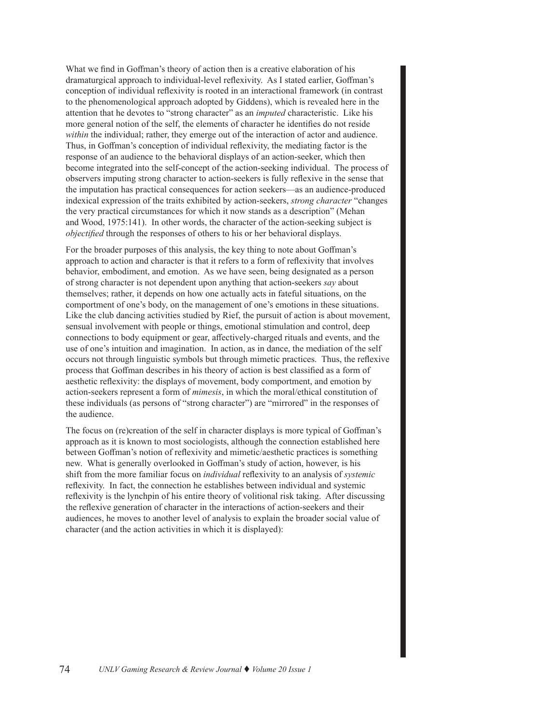What we find in Goffman's theory of action then is a creative elaboration of his dramaturgical approach to individual-level reflexivity. As I stated earlier, Goffman's conception of individual reflexivity is rooted in an interactional framework (in contrast to the phenomenological approach adopted by Giddens), which is revealed here in the attention that he devotes to "strong character" as an *imputed* characteristic. Like his more general notion of the self, the elements of character he identifies do not reside *within* the individual; rather, they emerge out of the interaction of actor and audience. Thus, in Goffman's conception of individual reflexivity, the mediating factor is the response of an audience to the behavioral displays of an action-seeker, which then become integrated into the self-concept of the action-seeking individual. The process of observers imputing strong character to action-seekers is fully reflexive in the sense that the imputation has practical consequences for action seekers—as an audience-produced indexical expression of the traits exhibited by action-seekers, *strong character* "changes the very practical circumstances for which it now stands as a description" (Mehan and Wood, 1975:141). In other words, the character of the action-seeking subject is *objectified* through the responses of others to his or her behavioral displays.

For the broader purposes of this analysis, the key thing to note about Goffman's approach to action and character is that it refers to a form of reflexivity that involves behavior, embodiment, and emotion. As we have seen, being designated as a person of strong character is not dependent upon anything that action-seekers *say* about themselves; rather, it depends on how one actually acts in fateful situations, on the comportment of one's body, on the management of one's emotions in these situations. Like the club dancing activities studied by Rief, the pursuit of action is about movement, sensual involvement with people or things, emotional stimulation and control, deep connections to body equipment or gear, affectively-charged rituals and events, and the use of one's intuition and imagination. In action, as in dance, the mediation of the self occurs not through linguistic symbols but through mimetic practices. Thus, the reflexive process that Goffman describes in his theory of action is best classified as a form of aesthetic reflexivity: the displays of movement, body comportment, and emotion by action-seekers represent a form of *mimesis*, in which the moral/ethical constitution of these individuals (as persons of "strong character") are "mirrored" in the responses of the audience.

The focus on (re)creation of the self in character displays is more typical of Goffman's approach as it is known to most sociologists, although the connection established here between Goffman's notion of reflexivity and mimetic/aesthetic practices is something new. What is generally overlooked in Goffman's study of action, however, is his shift from the more familiar focus on *individual* reflexivity to an analysis of *systemic* reflexivity. In fact, the connection he establishes between individual and systemic reflexivity is the lynchpin of his entire theory of volitional risk taking. After discussing the reflexive generation of character in the interactions of action-seekers and their audiences, he moves to another level of analysis to explain the broader social value of character (and the action activities in which it is displayed):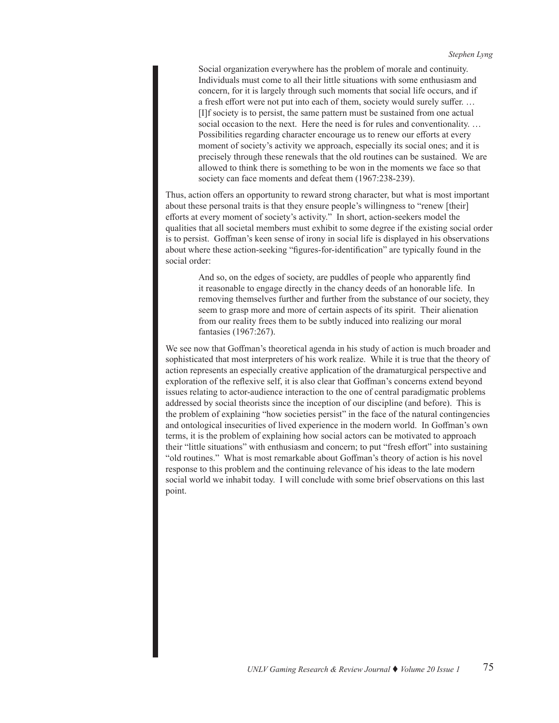Social organization everywhere has the problem of morale and continuity. Individuals must come to all their little situations with some enthusiasm and concern, for it is largely through such moments that social life occurs, and if a fresh effort were not put into each of them, society would surely suffer. … [I]f society is to persist, the same pattern must be sustained from one actual social occasion to the next. Here the need is for rules and conventionality. … Possibilities regarding character encourage us to renew our efforts at every moment of society's activity we approach, especially its social ones; and it is precisely through these renewals that the old routines can be sustained. We are allowed to think there is something to be won in the moments we face so that society can face moments and defeat them (1967:238-239).

Thus, action offers an opportunity to reward strong character, but what is most important about these personal traits is that they ensure people's willingness to "renew [their] efforts at every moment of society's activity." In short, action-seekers model the qualities that all societal members must exhibit to some degree if the existing social order is to persist. Goffman's keen sense of irony in social life is displayed in his observations about where these action-seeking "figures-for-identification" are typically found in the social order:

And so, on the edges of society, are puddles of people who apparently find it reasonable to engage directly in the chancy deeds of an honorable life. In removing themselves further and further from the substance of our society, they seem to grasp more and more of certain aspects of its spirit. Their alienation from our reality frees them to be subtly induced into realizing our moral fantasies (1967:267).

We see now that Goffman's theoretical agenda in his study of action is much broader and sophisticated that most interpreters of his work realize. While it is true that the theory of action represents an especially creative application of the dramaturgical perspective and exploration of the reflexive self, it is also clear that Goffman's concerns extend beyond issues relating to actor-audience interaction to the one of central paradigmatic problems addressed by social theorists since the inception of our discipline (and before). This is the problem of explaining "how societies persist" in the face of the natural contingencies and ontological insecurities of lived experience in the modern world. In Goffman's own terms, it is the problem of explaining how social actors can be motivated to approach their "little situations" with enthusiasm and concern; to put "fresh effort" into sustaining "old routines." What is most remarkable about Goffman's theory of action is his novel response to this problem and the continuing relevance of his ideas to the late modern social world we inhabit today. I will conclude with some brief observations on this last point.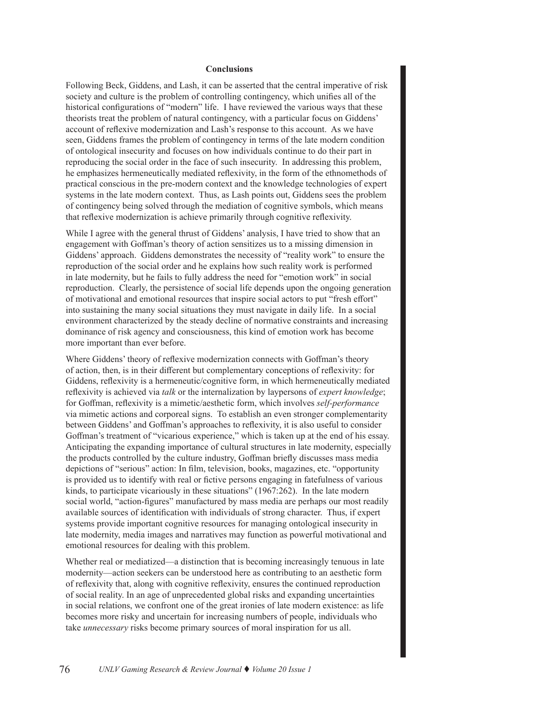#### **Conclusions**

Following Beck, Giddens, and Lash, it can be asserted that the central imperative of risk society and culture is the problem of controlling contingency, which unifies all of the historical configurations of "modern" life. I have reviewed the various ways that these theorists treat the problem of natural contingency, with a particular focus on Giddens' account of reflexive modernization and Lash's response to this account. As we have seen, Giddens frames the problem of contingency in terms of the late modern condition of ontological insecurity and focuses on how individuals continue to do their part in reproducing the social order in the face of such insecurity. In addressing this problem, he emphasizes hermeneutically mediated reflexivity, in the form of the ethnomethods of practical conscious in the pre-modern context and the knowledge technologies of expert systems in the late modern context. Thus, as Lash points out, Giddens sees the problem of contingency being solved through the mediation of cognitive symbols, which means that reflexive modernization is achieve primarily through cognitive reflexivity.

While I agree with the general thrust of Giddens' analysis, I have tried to show that an engagement with Goffman's theory of action sensitizes us to a missing dimension in Giddens' approach. Giddens demonstrates the necessity of "reality work" to ensure the reproduction of the social order and he explains how such reality work is performed in late modernity, but he fails to fully address the need for "emotion work" in social reproduction. Clearly, the persistence of social life depends upon the ongoing generation of motivational and emotional resources that inspire social actors to put "fresh effort" into sustaining the many social situations they must navigate in daily life. In a social environment characterized by the steady decline of normative constraints and increasing dominance of risk agency and consciousness, this kind of emotion work has become more important than ever before.

Where Giddens' theory of reflexive modernization connects with Goffman's theory of action, then, is in their different but complementary conceptions of reflexivity: for Giddens, reflexivity is a hermeneutic/cognitive form, in which hermeneutically mediated reflexivity is achieved via *talk* or the internalization by laypersons of *expert knowledge*; for Goffman, reflexivity is a mimetic/aesthetic form, which involves *self-performance* via mimetic actions and corporeal signs. To establish an even stronger complementarity between Giddens' and Goffman's approaches to reflexivity, it is also useful to consider Goffman's treatment of "vicarious experience," which is taken up at the end of his essay. Anticipating the expanding importance of cultural structures in late modernity, especially the products controlled by the culture industry, Goffman briefly discusses mass media depictions of "serious" action: In film, television, books, magazines, etc. "opportunity is provided us to identify with real or fictive persons engaging in fatefulness of various kinds, to participate vicariously in these situations" (1967:262). In the late modern social world, "action-figures" manufactured by mass media are perhaps our most readily available sources of identification with individuals of strong character. Thus, if expert systems provide important cognitive resources for managing ontological insecurity in late modernity, media images and narratives may function as powerful motivational and emotional resources for dealing with this problem.

Whether real or mediatized—a distinction that is becoming increasingly tenuous in late modernity—action seekers can be understood here as contributing to an aesthetic form of reflexivity that, along with cognitive reflexivity, ensures the continued reproduction of social reality. In an age of unprecedented global risks and expanding uncertainties in social relations, we confront one of the great ironies of late modern existence: as life becomes more risky and uncertain for increasing numbers of people, individuals who take *unnecessary* risks become primary sources of moral inspiration for us all.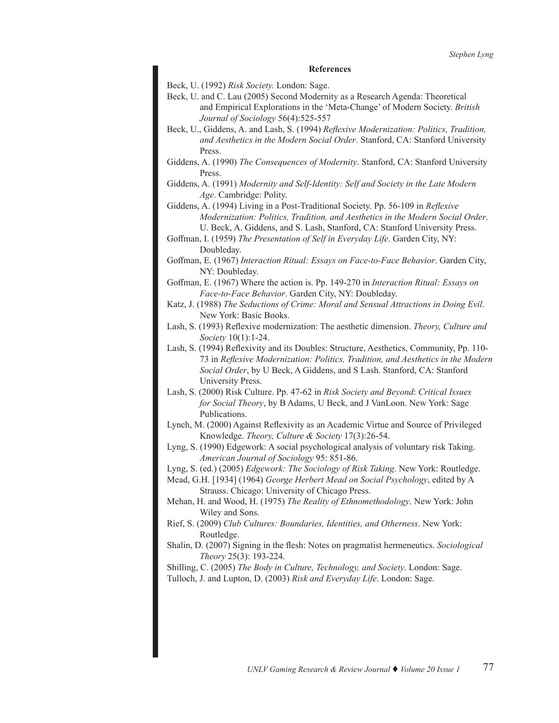#### **References**

Beck, U. (1992) *Risk Society.* London: Sage.

- Beck, U. and C. Lau (2005) Second Modernity as a Research Agenda: Theoretical and Empirical Explorations in the 'Meta-Change' of Modern Society. *British Journal of Sociology* 56(4):525-557
- Beck, U., Giddens, A. and Lash, S. (1994) *Reflexive Modernization: Politics, Tradition, and Aesthetics in the Modern Social Order*. Stanford, CA: Stanford University Press.
- Giddens, A. (1990) *The Consequences of Modernity*. Stanford, CA: Stanford University Press.
- Giddens, A. (1991) *Modernity and Self-Identity: Self and Society in the Late Modern Age*. Cambridge: Polity.

Giddens, A. (1994) Living in a Post-Traditional Society. Pp. 56-109 in *Reflexive Modernization: Politics, Tradition, and Aesthetics in the Modern Social Order*. U. Beck, A. Giddens, and S. Lash, Stanford, CA: Stanford University Press.

- Goffman, I. (1959) *The Presentation of Self in Everyday Life*. Garden City, NY: Doubleday.
- Goffman, E. (1967) *Interaction Ritual: Essays on Face-to-Face Behavior*. Garden City, NY: Doubleday.
- Goffman, E. (1967) Where the action is. Pp. 149-270 in *Interaction Ritual: Essays on Face-to-Face Behavior*. Garden City, NY: Doubleday.
- Katz, J. (1988) *The Seductions of Crime: Moral and Sensual Attractions in Doing Evil*. New York: Basic Books.
- Lash, S. (1993) Reflexive modernization: The aesthetic dimension. *Theory, Culture and Society* 10(1):1-24.
- Lash, S. (1994) Reflexivity and its Doubles: Structure, Aesthetics, Community, Pp. 110- 73 in *Reflexive Modernization: Politics, Tradition, and Aesthetics in the Modern Social Order*, by U Beck, A Giddens, and S Lash. Stanford, CA: Stanford University Press.
- Lash, S. (2000) Risk Culture. Pp. 47-62 in *Risk Society and Beyond*: *Critical Issues for Social Theory*, by B Adams, U Beck, and J VanLoon. New York: Sage Publications.
- Lynch, M. (2000) Against Reflexivity as an Academic Virtue and Source of Privileged Knowledge. *Theory, Culture & Society* 17(3):26-54.
- Lyng, S. (1990) Edgework: A social psychological analysis of voluntary risk Taking. *American Journal of Sociology* 95: 851-86.

Lyng, S. (ed.) (2005) *Edgework: The Sociology of Risk Taking*. New York: Routledge.

Mead, G.H. [1934] (1964) *George Herbert Mead on Social Psychology*, edited by A Strauss. Chicago: University of Chicago Press.

- Mehan, H. and Wood, H. (1975) *The Reality of Ethnomethodology*. New York: John Wiley and Sons.
- Rief, S. (2009) *Club Cultures: Boundaries, Identities, and Otherness*. New York: Routledge.
- Shalin, D. (2007) Signing in the flesh: Notes on pragmatist hermeneutics. *Sociological Theory* 25(3): 193-224.

Shilling, C. (2005) *The Body in Culture, Technology, and Society*. London: Sage.

Tulloch, J. and Lupton, D. (2003) *Risk and Everyday Life*. London: Sage.